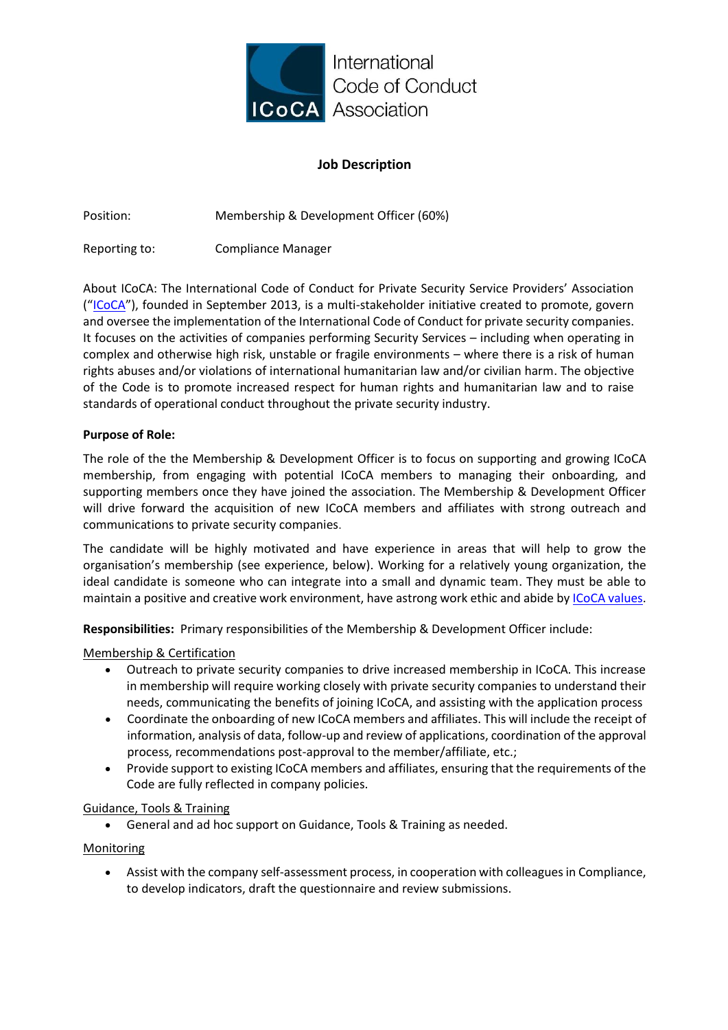

# **Job Description**

Position: Membership & Development Officer (60%)

Reporting to: Compliance Manager

About ICoCA: The International Code of Conduct for Private Security Service Providers' Association ("[ICoCA](https://icoca.ch/about/)"), founded in September 2013, is a multi-stakeholder initiative created to promote, govern and oversee the implementation of the International Code of Conduct for private security companies. It focuses on the activities of companies performing Security Services – including when operating in complex and otherwise high risk, unstable or fragile environments – where there is a risk of human rights abuses and/or violations of international humanitarian law and/or civilian harm. The objective of the Code is to promote increased respect for human rights and humanitarian law and to raise standards of operational conduct throughout the private security industry.

## **Purpose of Role:**

The role of the the Membership & Development Officer is to focus on supporting and growing ICoCA membership, from engaging with potential ICoCA members to managing their onboarding, and supporting members once they have joined the association. The Membership & Development Officer will drive forward the acquisition of new ICoCA members and affiliates with strong outreach and communications to private security companies.

The candidate will be highly motivated and have experience in areas that will help to grow the organisation's membership (see experience, below). Working for a relatively young organization, the ideal candidate is someone who can integrate into a small and dynamic team. They must be able to maintain a positive and creative work environment, have astrong work ethic and abide by [ICoCA values.](https://icoca.ch/icocas-core-values/)

**Responsibilities:** Primary responsibilities of the Membership & Development Officer include:

#### Membership & Certification

- Outreach to private security companies to drive increased membership in ICoCA. This increase in membership will require working closely with private security companies to understand their needs, communicating the benefits of joining ICoCA, and assisting with the application process
- Coordinate the onboarding of new ICoCA members and affiliates. This will include the receipt of information, analysis of data, follow-up and review of applications, coordination of the approval process, recommendations post-approval to the member/affiliate, etc.;
- Provide support to existing ICoCA members and affiliates, ensuring that the requirements of the Code are fully reflected in company policies.

#### Guidance, Tools & Training

• General and ad hoc support on Guidance, Tools & Training as needed.

## **Monitoring**

• Assist with the company self-assessment process, in cooperation with colleagues in Compliance, to develop indicators, draft the questionnaire and review submissions.